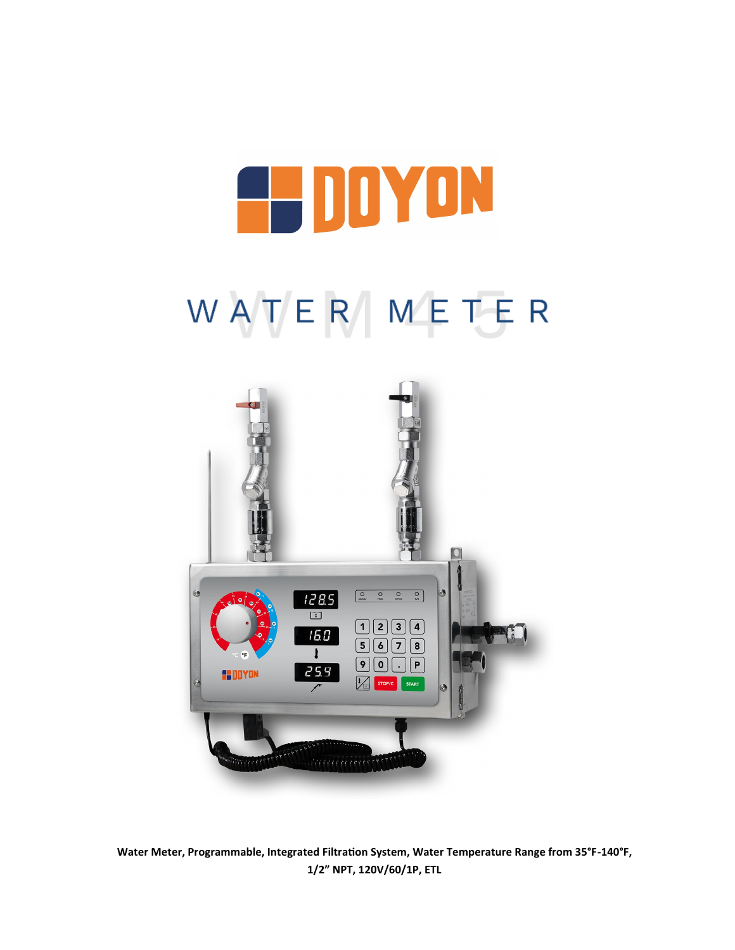## **EL DOYON**

## WATER METER



**Water Meter, Programmable, Integrated Filtration System, Water Temperature Range from 35°F-140°F, 1/2" NPT, 120V/60/1P, ETL**